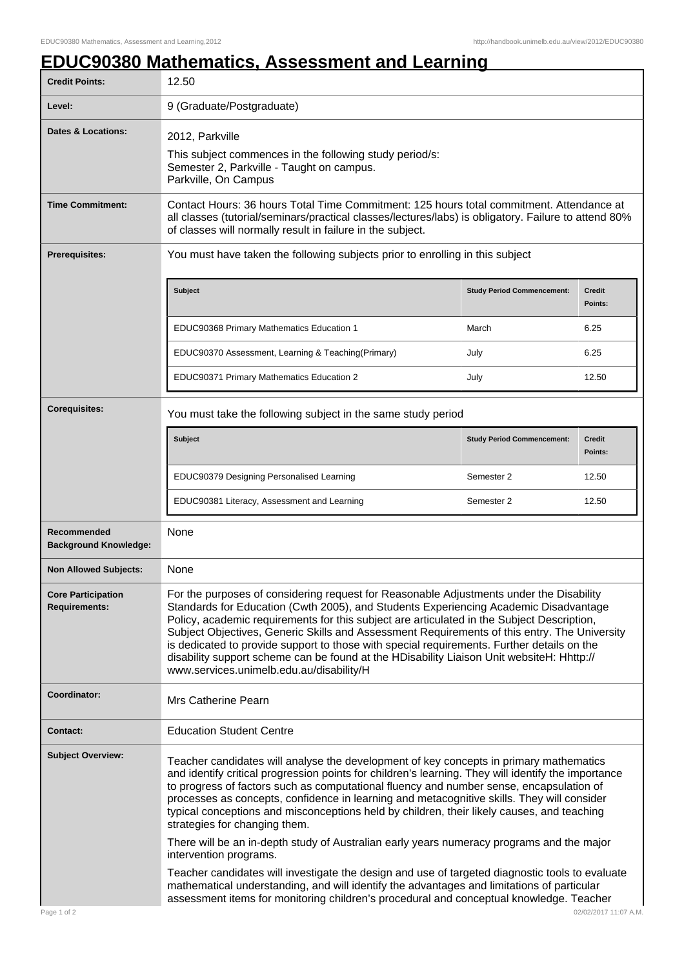## **EDUC90380 Mathematics, Assessment and Learning**

| <b>Credit Points:</b>                             | 12.50                                                                                                                                                                                                                                                                                                                                                                                                                                                                                                                                                                                                                |                                   |                          |
|---------------------------------------------------|----------------------------------------------------------------------------------------------------------------------------------------------------------------------------------------------------------------------------------------------------------------------------------------------------------------------------------------------------------------------------------------------------------------------------------------------------------------------------------------------------------------------------------------------------------------------------------------------------------------------|-----------------------------------|--------------------------|
| Level:                                            | 9 (Graduate/Postgraduate)                                                                                                                                                                                                                                                                                                                                                                                                                                                                                                                                                                                            |                                   |                          |
| <b>Dates &amp; Locations:</b>                     | 2012, Parkville<br>This subject commences in the following study period/s:<br>Semester 2, Parkville - Taught on campus.<br>Parkville, On Campus                                                                                                                                                                                                                                                                                                                                                                                                                                                                      |                                   |                          |
| <b>Time Commitment:</b>                           | Contact Hours: 36 hours Total Time Commitment: 125 hours total commitment. Attendance at<br>all classes (tutorial/seminars/practical classes/lectures/labs) is obligatory. Failure to attend 80%<br>of classes will normally result in failure in the subject.                                                                                                                                                                                                                                                                                                                                                       |                                   |                          |
| <b>Prerequisites:</b>                             | You must have taken the following subjects prior to enrolling in this subject                                                                                                                                                                                                                                                                                                                                                                                                                                                                                                                                        |                                   |                          |
|                                                   | Subject                                                                                                                                                                                                                                                                                                                                                                                                                                                                                                                                                                                                              | <b>Study Period Commencement:</b> | <b>Credit</b><br>Points: |
|                                                   | EDUC90368 Primary Mathematics Education 1                                                                                                                                                                                                                                                                                                                                                                                                                                                                                                                                                                            | March                             | 6.25                     |
|                                                   | EDUC90370 Assessment, Learning & Teaching(Primary)                                                                                                                                                                                                                                                                                                                                                                                                                                                                                                                                                                   | July                              | 6.25                     |
|                                                   | EDUC90371 Primary Mathematics Education 2                                                                                                                                                                                                                                                                                                                                                                                                                                                                                                                                                                            | July                              | 12.50                    |
| <b>Corequisites:</b>                              | You must take the following subject in the same study period                                                                                                                                                                                                                                                                                                                                                                                                                                                                                                                                                         |                                   |                          |
|                                                   | Subject                                                                                                                                                                                                                                                                                                                                                                                                                                                                                                                                                                                                              | <b>Study Period Commencement:</b> | <b>Credit</b><br>Points: |
|                                                   | EDUC90379 Designing Personalised Learning                                                                                                                                                                                                                                                                                                                                                                                                                                                                                                                                                                            | Semester 2                        | 12.50                    |
|                                                   | EDUC90381 Literacy, Assessment and Learning                                                                                                                                                                                                                                                                                                                                                                                                                                                                                                                                                                          | Semester 2                        | 12.50                    |
| Recommended<br><b>Background Knowledge:</b>       | None                                                                                                                                                                                                                                                                                                                                                                                                                                                                                                                                                                                                                 |                                   |                          |
| <b>Non Allowed Subjects:</b>                      | None                                                                                                                                                                                                                                                                                                                                                                                                                                                                                                                                                                                                                 |                                   |                          |
| <b>Core Participation</b><br><b>Requirements:</b> | For the purposes of considering request for Reasonable Adjustments under the Disability<br>Standards for Education (Cwth 2005), and Students Experiencing Academic Disadvantage<br>Policy, academic requirements for this subject are articulated in the Subject Description,<br>Subject Objectives, Generic Skills and Assessment Requirements of this entry. The University<br>is dedicated to provide support to those with special requirements. Further details on the<br>disability support scheme can be found at the HDisability Liaison Unit websiteH: Hhttp://<br>www.services.unimelb.edu.au/disability/H |                                   |                          |
| Coordinator:                                      | Mrs Catherine Pearn                                                                                                                                                                                                                                                                                                                                                                                                                                                                                                                                                                                                  |                                   |                          |
| <b>Contact:</b>                                   | <b>Education Student Centre</b>                                                                                                                                                                                                                                                                                                                                                                                                                                                                                                                                                                                      |                                   |                          |
| <b>Subject Overview:</b>                          | Teacher candidates will analyse the development of key concepts in primary mathematics<br>and identify critical progression points for children's learning. They will identify the importance<br>to progress of factors such as computational fluency and number sense, encapsulation of<br>processes as concepts, confidence in learning and metacognitive skills. They will consider<br>typical conceptions and misconceptions held by children, their likely causes, and teaching<br>strategies for changing them.                                                                                                |                                   |                          |
|                                                   | There will be an in-depth study of Australian early years numeracy programs and the major<br>intervention programs.                                                                                                                                                                                                                                                                                                                                                                                                                                                                                                  |                                   |                          |
|                                                   | Teacher candidates will investigate the design and use of targeted diagnostic tools to evaluate<br>mathematical understanding, and will identify the advantages and limitations of particular<br>assessment items for monitoring children's procedural and conceptual knowledge. Teacher                                                                                                                                                                                                                                                                                                                             |                                   |                          |